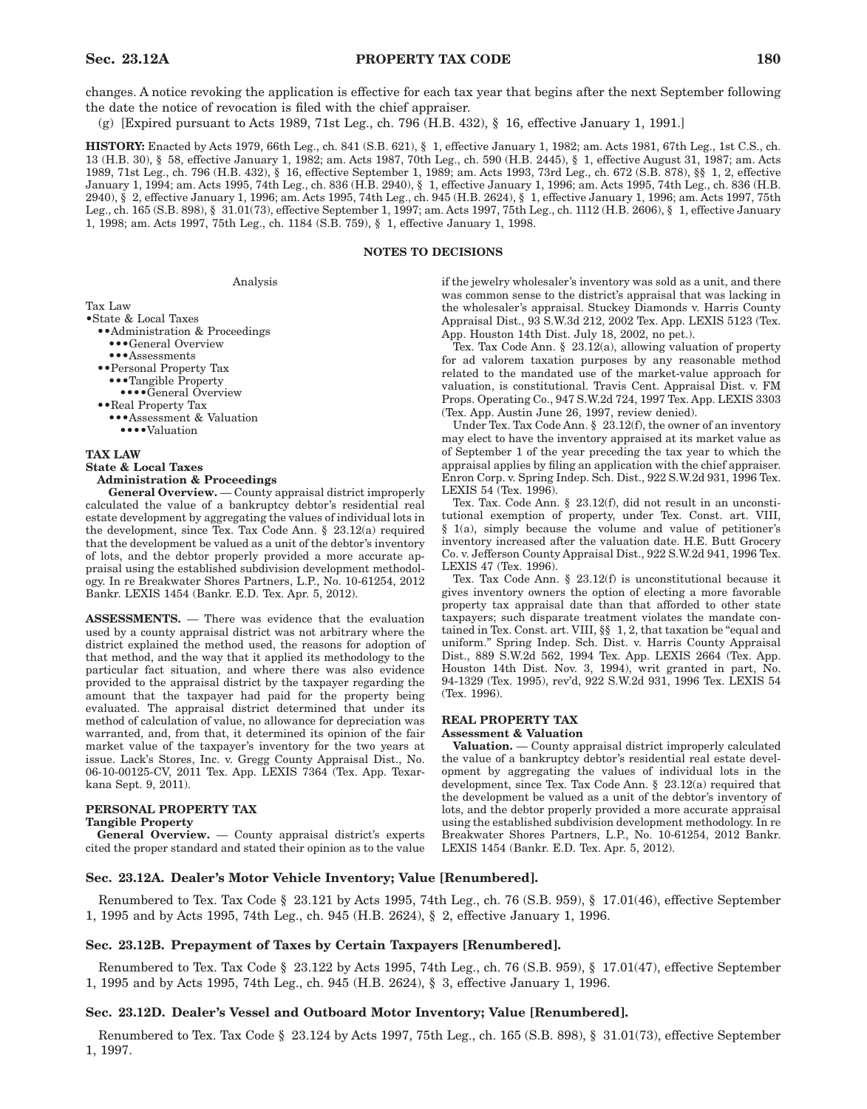changes. A notice revoking the application is effective for each tax year that begins after the next September following the date the notice of revocation is filed with the chief appraiser.

(g) [Expired pursuant to Acts 1989, 71st Leg., ch. 796 (H.B. 432), § 16, effective January 1, 1991.]

**HISTORY:** Enacted by Acts 1979, 66th Leg., ch. 841 (S.B. 621), § 1, effective January 1, 1982; am. Acts 1981, 67th Leg., 1st C.S., ch. 13 (H.B. 30), § 58, effective January 1, 1982; am. Acts 1987, 70th Leg., ch. 590 (H.B. 2445), § 1, effective August 31, 1987; am. Acts 1989, 71st Leg., ch. 796 (H.B. 432), § 16, effective September 1, 1989; am. Acts 1993, 73rd Leg., ch. 672 (S.B. 878), §§ 1, 2, effective January 1, 1994; am. Acts 1995, 74th Leg., ch. 836 (H.B. 2940), § 1, effective January 1, 1996; am. Acts 1995, 74th Leg., ch. 836 (H.B. 2940), § 2, effective January 1, 1996; am. Acts 1995, 74th Leg., ch. 945 (H.B. 2624), § 1, effective January 1, 1996; am. Acts 1997, 75th Leg., ch. 165 (S.B. 898), § 31.01(73), effective September 1, 1997; am. Acts 1997, 75th Leg., ch. 1112 (H.B. 2606), § 1, effective January 1, 1998; am. Acts 1997, 75th Leg., ch. 1184 (S.B. 759), § 1, effective January 1, 1998.

## **NOTES TO DECISIONS**

Analysis

Tax Law

- •State & Local Taxes
	- ••Administration & Proceedings •••General Overview
	- ••• Assessments
	- ••Personal Property Tax
	- •••Tangible Property
	- ••••General Overview
	- ••Real Property Tax
		- •••Assessment & Valuation
		- •••• Valuation

## **TAX LAW**

#### **State & Local Taxes Administration & Proceedings**

**General Overview.** — County appraisal district improperly calculated the value of a bankruptcy debtor's residential real estate development by aggregating the values of individual lots in the development, since Tex. Tax Code Ann. § 23.12(a) required that the development be valued as a unit of the debtor's inventory of lots, and the debtor properly provided a more accurate appraisal using the established subdivision development methodology. In re Breakwater Shores Partners, L.P., No. 10-61254, 2012 Bankr. LEXIS 1454 (Bankr. E.D. Tex. Apr. 5, 2012).

**ASSESSMENTS.** — There was evidence that the evaluation used by a county appraisal district was not arbitrary where the district explained the method used, the reasons for adoption of that method, and the way that it applied its methodology to the particular fact situation, and where there was also evidence provided to the appraisal district by the taxpayer regarding the amount that the taxpayer had paid for the property being evaluated. The appraisal district determined that under its method of calculation of value, no allowance for depreciation was warranted, and, from that, it determined its opinion of the fair market value of the taxpayer's inventory for the two years at issue. Lack's Stores, Inc. v. Gregg County Appraisal Dist., No. 06-10-00125-CV, 2011 Tex. App. LEXIS 7364 (Tex. App. Texarkana Sept. 9, 2011).

# **PERSONAL PROPERTY TAX**

#### **Tangible Property**

**General Overview.** — County appraisal district's experts cited the proper standard and stated their opinion as to the value if the jewelry wholesaler's inventory was sold as a unit, and there was common sense to the district's appraisal that was lacking in the wholesaler's appraisal. Stuckey Diamonds v. Harris County Appraisal Dist., 93 S.W.3d 212, 2002 Tex. App. LEXIS 5123 (Tex. App. Houston 14th Dist. July 18, 2002, no pet.).

Tex. Tax Code Ann. § 23.12(a), allowing valuation of property for ad valorem taxation purposes by any reasonable method related to the mandated use of the market-value approach for valuation, is constitutional. Travis Cent. Appraisal Dist. v. FM Props. Operating Co., 947 S.W.2d 724, 1997 Tex. App. LEXIS 3303 (Tex. App. Austin June 26, 1997, review denied).

Under Tex. Tax Code Ann. § 23.12(f), the owner of an inventory may elect to have the inventory appraised at its market value as of September 1 of the year preceding the tax year to which the appraisal applies by filing an application with the chief appraiser. Enron Corp. v. Spring Indep. Sch. Dist., 922 S.W.2d 931, 1996 Tex. LEXIS 54 (Tex. 1996).

Tex. Tax. Code Ann. § 23.12(f), did not result in an unconstitutional exemption of property, under Tex. Const. art. VIII, § 1(a), simply because the volume and value of petitioner's inventory increased after the valuation date. H.E. Butt Grocery Co. v. Jefferson County Appraisal Dist., 922 S.W.2d 941, 1996 Tex. LEXIS 47 (Tex. 1996).

Tex. Tax Code Ann. § 23.12(f) is unconstitutional because it gives inventory owners the option of electing a more favorable property tax appraisal date than that afforded to other state taxpayers; such disparate treatment violates the mandate contained in Tex. Const. art. VIII, §§ 1, 2, that taxation be "equal and uniform." Spring Indep. Sch. Dist. v. Harris County Appraisal Dist., 889 S.W.2d 562, 1994 Tex. App. LEXIS 2664 (Tex. App. Houston 14th Dist. Nov. 3, 1994), writ granted in part, No. 94-1329 (Tex. 1995), rev'd, 922 S.W.2d 931, 1996 Tex. LEXIS 54 (Tex. 1996).

# **REAL PROPERTY TAX**

## **Assessment & Valuation**

**Valuation.** — County appraisal district improperly calculated the value of a bankruptcy debtor's residential real estate development by aggregating the values of individual lots in the development, since Tex. Tax Code Ann. § 23.12(a) required that the development be valued as a unit of the debtor's inventory of lots, and the debtor properly provided a more accurate appraisal using the established subdivision development methodology. In re Breakwater Shores Partners, L.P., No. 10-61254, 2012 Bankr. LEXIS 1454 (Bankr. E.D. Tex. Apr. 5, 2012).

## **Sec. 23.12A. Dealer's Motor Vehicle Inventory; Value [Renumbered].**

Renumbered to Tex. Tax Code § 23.121 by Acts 1995, 74th Leg., ch. 76 (S.B. 959), § 17.01(46), effective September 1, 1995 and by Acts 1995, 74th Leg., ch. 945 (H.B. 2624), § 2, effective January 1, 1996.

### **Sec. 23.12B. Prepayment of Taxes by Certain Taxpayers [Renumbered].**

Renumbered to Tex. Tax Code § 23.122 by Acts 1995, 74th Leg., ch. 76 (S.B. 959), § 17.01(47), effective September 1, 1995 and by Acts 1995, 74th Leg., ch. 945 (H.B. 2624), § 3, effective January 1, 1996.

## **Sec. 23.12D. Dealer's Vessel and Outboard Motor Inventory; Value [Renumbered].**

Renumbered to Tex. Tax Code § 23.124 by Acts 1997, 75th Leg., ch. 165 (S.B. 898), § 31.01(73), effective September 1, 1997.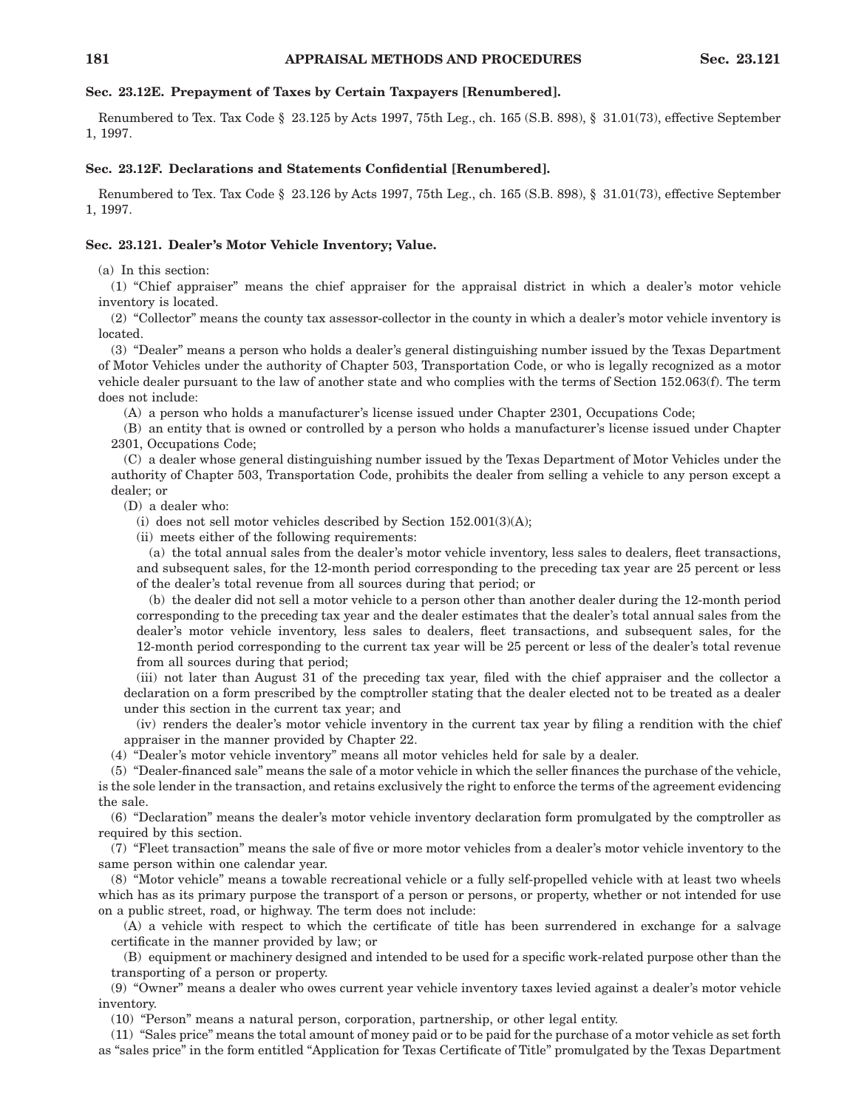# **Sec. 23.12E. Prepayment of Taxes by Certain Taxpayers [Renumbered].**

Renumbered to Tex. Tax Code § 23.125 by Acts 1997, 75th Leg., ch. 165 (S.B. 898), § 31.01(73), effective September 1, 1997.

# **Sec. 23.12F. Declarations and Statements Confidential [Renumbered].**

Renumbered to Tex. Tax Code § 23.126 by Acts 1997, 75th Leg., ch. 165 (S.B. 898), § 31.01(73), effective September 1, 1997.

## **Sec. 23.121. Dealer's Motor Vehicle Inventory; Value.**

(a) In this section:

(1) "Chief appraiser" means the chief appraiser for the appraisal district in which a dealer's motor vehicle inventory is located.

(2) "Collector" means the county tax assessor-collector in the county in which a dealer's motor vehicle inventory is located.

(3) "Dealer" means a person who holds a dealer's general distinguishing number issued by the Texas Department of Motor Vehicles under the authority of Chapter 503, Transportation Code, or who is legally recognized as a motor vehicle dealer pursuant to the law of another state and who complies with the terms of Section 152.063(f). The term does not include:

(A) a person who holds a manufacturer's license issued under Chapter 2301, Occupations Code;

(B) an entity that is owned or controlled by a person who holds a manufacturer's license issued under Chapter 2301, Occupations Code;

(C) a dealer whose general distinguishing number issued by the Texas Department of Motor Vehicles under the authority of Chapter 503, Transportation Code, prohibits the dealer from selling a vehicle to any person except a dealer; or

(D) a dealer who:

(i) does not sell motor vehicles described by Section  $152.001(3)(A)$ ;

(ii) meets either of the following requirements:

(a) the total annual sales from the dealer's motor vehicle inventory, less sales to dealers, fleet transactions, and subsequent sales, for the 12-month period corresponding to the preceding tax year are 25 percent or less of the dealer's total revenue from all sources during that period; or

(b) the dealer did not sell a motor vehicle to a person other than another dealer during the 12-month period corresponding to the preceding tax year and the dealer estimates that the dealer's total annual sales from the dealer's motor vehicle inventory, less sales to dealers, fleet transactions, and subsequent sales, for the 12-month period corresponding to the current tax year will be 25 percent or less of the dealer's total revenue from all sources during that period;

(iii) not later than August 31 of the preceding tax year, filed with the chief appraiser and the collector a declaration on a form prescribed by the comptroller stating that the dealer elected not to be treated as a dealer under this section in the current tax year; and

(iv) renders the dealer's motor vehicle inventory in the current tax year by filing a rendition with the chief appraiser in the manner provided by Chapter 22.

(4) "Dealer's motor vehicle inventory" means all motor vehicles held for sale by a dealer.

(5) "Dealer-financed sale" means the sale of a motor vehicle in which the seller finances the purchase of the vehicle, is the sole lender in the transaction, and retains exclusively the right to enforce the terms of the agreement evidencing the sale.

(6) "Declaration" means the dealer's motor vehicle inventory declaration form promulgated by the comptroller as required by this section.

(7) "Fleet transaction" means the sale of five or more motor vehicles from a dealer's motor vehicle inventory to the same person within one calendar year.

(8) "Motor vehicle" means a towable recreational vehicle or a fully self-propelled vehicle with at least two wheels which has as its primary purpose the transport of a person or persons, or property, whether or not intended for use on a public street, road, or highway. The term does not include:

(A) a vehicle with respect to which the certificate of title has been surrendered in exchange for a salvage certificate in the manner provided by law; or

(B) equipment or machinery designed and intended to be used for a specific work-related purpose other than the transporting of a person or property.

(9) "Owner" means a dealer who owes current year vehicle inventory taxes levied against a dealer's motor vehicle inventory.

(10) "Person" means a natural person, corporation, partnership, or other legal entity.

(11) "Sales price" means the total amount of money paid or to be paid for the purchase of a motor vehicle as set forth as "sales price" in the form entitled "Application for Texas Certificate of Title" promulgated by the Texas Department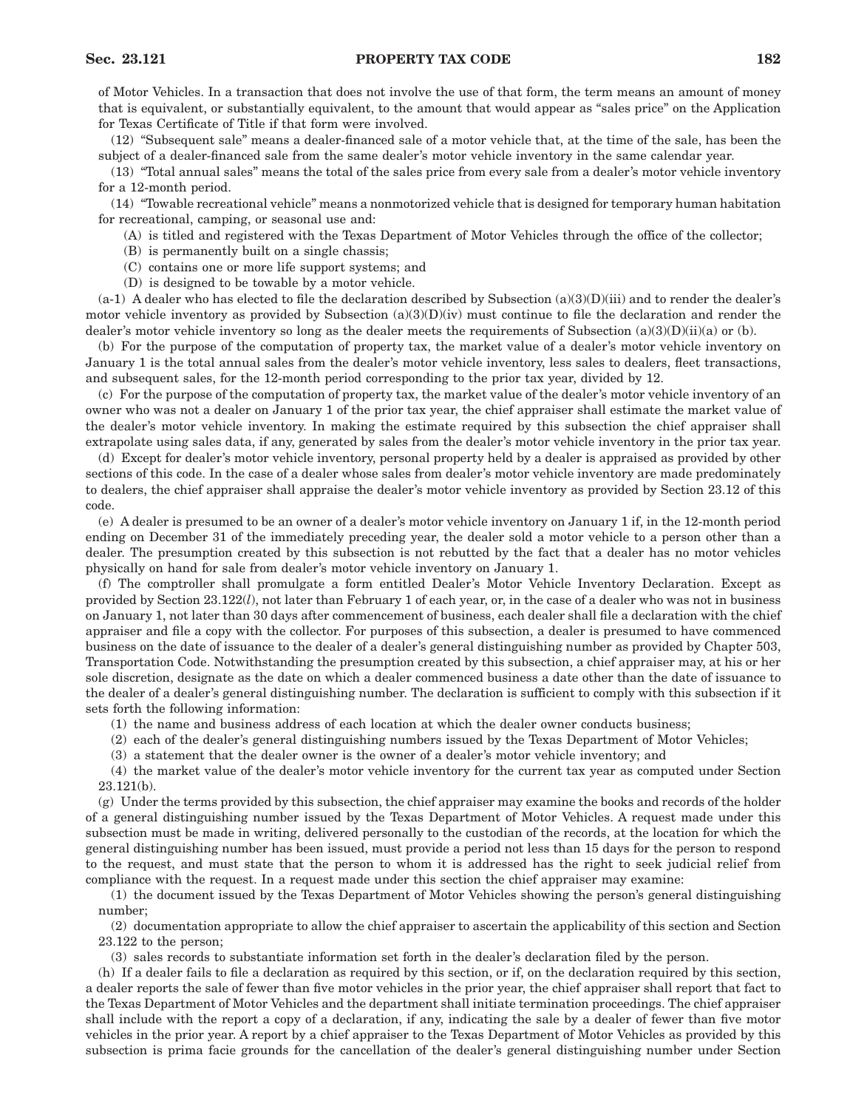## **Sec. 23.121 PROPERTY TAX CODE 182**

of Motor Vehicles. In a transaction that does not involve the use of that form, the term means an amount of money that is equivalent, or substantially equivalent, to the amount that would appear as "sales price" on the Application for Texas Certificate of Title if that form were involved.

(12) "Subsequent sale" means a dealer-financed sale of a motor vehicle that, at the time of the sale, has been the subject of a dealer-financed sale from the same dealer's motor vehicle inventory in the same calendar year.

(13) "Total annual sales" means the total of the sales price from every sale from a dealer's motor vehicle inventory for a 12-month period.

(14) "Towable recreational vehicle" means a nonmotorized vehicle that is designed for temporary human habitation for recreational, camping, or seasonal use and:

- (A) is titled and registered with the Texas Department of Motor Vehicles through the office of the collector;
- (B) is permanently built on a single chassis;
- (C) contains one or more life support systems; and
- (D) is designed to be towable by a motor vehicle.

 $(a-1)$  A dealer who has elected to file the declaration described by Subsection  $(a)(3)(D)(iii)$  and to render the dealer's motor vehicle inventory as provided by Subsection  $(a)(3)(D)(iv)$  must continue to file the declaration and render the dealer's motor vehicle inventory so long as the dealer meets the requirements of Subsection  $(a)(3)(D)(ii)(a)$  or (b).

(b) For the purpose of the computation of property tax, the market value of a dealer's motor vehicle inventory on January 1 is the total annual sales from the dealer's motor vehicle inventory, less sales to dealers, fleet transactions, and subsequent sales, for the 12-month period corresponding to the prior tax year, divided by 12.

(c) For the purpose of the computation of property tax, the market value of the dealer's motor vehicle inventory of an owner who was not a dealer on January 1 of the prior tax year, the chief appraiser shall estimate the market value of the dealer's motor vehicle inventory. In making the estimate required by this subsection the chief appraiser shall extrapolate using sales data, if any, generated by sales from the dealer's motor vehicle inventory in the prior tax year.

(d) Except for dealer's motor vehicle inventory, personal property held by a dealer is appraised as provided by other sections of this code. In the case of a dealer whose sales from dealer's motor vehicle inventory are made predominately to dealers, the chief appraiser shall appraise the dealer's motor vehicle inventory as provided by Section 23.12 of this code.

(e) A dealer is presumed to be an owner of a dealer's motor vehicle inventory on January 1 if, in the 12-month period ending on December 31 of the immediately preceding year, the dealer sold a motor vehicle to a person other than a dealer. The presumption created by this subsection is not rebutted by the fact that a dealer has no motor vehicles physically on hand for sale from dealer's motor vehicle inventory on January 1.

(f) The comptroller shall promulgate a form entitled Dealer's Motor Vehicle Inventory Declaration. Except as provided by Section 23.122(*l*), not later than February 1 of each year, or, in the case of a dealer who was not in business on January 1, not later than 30 days after commencement of business, each dealer shall file a declaration with the chief appraiser and file a copy with the collector. For purposes of this subsection, a dealer is presumed to have commenced business on the date of issuance to the dealer of a dealer's general distinguishing number as provided by Chapter 503, Transportation Code. Notwithstanding the presumption created by this subsection, a chief appraiser may, at his or her sole discretion, designate as the date on which a dealer commenced business a date other than the date of issuance to the dealer of a dealer's general distinguishing number. The declaration is sufficient to comply with this subsection if it sets forth the following information:

(1) the name and business address of each location at which the dealer owner conducts business;

(2) each of the dealer's general distinguishing numbers issued by the Texas Department of Motor Vehicles;

(3) a statement that the dealer owner is the owner of a dealer's motor vehicle inventory; and

(4) the market value of the dealer's motor vehicle inventory for the current tax year as computed under Section 23.121(b).

(g) Under the terms provided by this subsection, the chief appraiser may examine the books and records of the holder of a general distinguishing number issued by the Texas Department of Motor Vehicles. A request made under this subsection must be made in writing, delivered personally to the custodian of the records, at the location for which the general distinguishing number has been issued, must provide a period not less than 15 days for the person to respond to the request, and must state that the person to whom it is addressed has the right to seek judicial relief from compliance with the request. In a request made under this section the chief appraiser may examine:

(1) the document issued by the Texas Department of Motor Vehicles showing the person's general distinguishing number;

(2) documentation appropriate to allow the chief appraiser to ascertain the applicability of this section and Section 23.122 to the person;

(3) sales records to substantiate information set forth in the dealer's declaration filed by the person.

(h) If a dealer fails to file a declaration as required by this section, or if, on the declaration required by this section, a dealer reports the sale of fewer than five motor vehicles in the prior year, the chief appraiser shall report that fact to the Texas Department of Motor Vehicles and the department shall initiate termination proceedings. The chief appraiser shall include with the report a copy of a declaration, if any, indicating the sale by a dealer of fewer than five motor vehicles in the prior year. A report by a chief appraiser to the Texas Department of Motor Vehicles as provided by this subsection is prima facie grounds for the cancellation of the dealer's general distinguishing number under Section